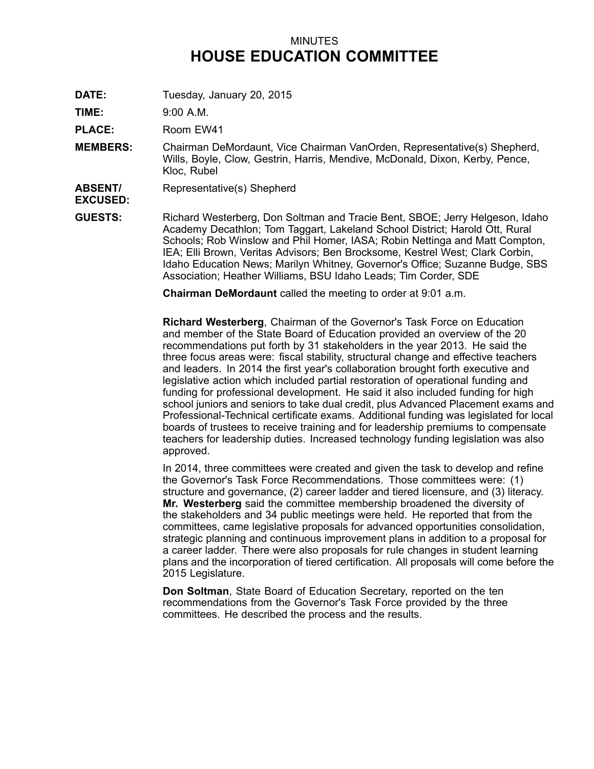## MINUTES **HOUSE EDUCATION COMMITTEE**

**DATE:** Tuesday, January 20, 2015

**TIME:** 9:00 A.M.

**PLACE:** Room EW41

- **MEMBERS:** Chairman DeMordaunt, Vice Chairman VanOrden, Representative(s) Shepherd, Wills, Boyle, Clow, Gestrin, Harris, Mendive, McDonald, Dixon, Kerby, Pence, Kloc, Rubel
- **ABSENT/** Representative(s) Shepherd

**EXCUSED:**

**GUESTS:** Richard Westerberg, Don Soltman and Tracie Bent, SBOE; Jerry Helgeson, Idaho Academy Decathlon; Tom Taggart, Lakeland School District; Harold Ott, Rural Schools; Rob Winslow and Phil Homer, IASA; Robin Nettinga and Matt Compton, IEA; Elli Brown, Veritas Advisors; Ben Brocksome, Kestrel West; Clark Corbin, Idaho Education News; Marilyn Whitney, Governor's Office; Suzanne Budge, SBS Association; Heather Williams, BSU Idaho Leads; Tim Corder, SDE

**Chairman DeMordaunt** called the meeting to order at 9:01 a.m.

**Richard Westerberg**, Chairman of the Governor's Task Force on Education and member of the State Board of Education provided an overview of the 20 recommendations put forth by 31 stakeholders in the year 2013. He said the three focus areas were: fiscal stability, structural change and effective teachers and leaders. In 2014 the first year's collaboration brought forth executive and legislative action which included partial restoration of operational funding and funding for professional development. He said it also included funding for high school juniors and seniors to take dual credit, plus Advanced Placement exams and Professional-Technical certificate exams. Additional funding was legislated for local boards of trustees to receive training and for leadership premiums to compensate teachers for leadership duties. Increased technology funding legislation was also approved.

In 2014, three committees were created and given the task to develop and refine the Governor's Task Force Recommendations. Those committees were: (1) structure and governance, (2) career ladder and tiered licensure, and (3) literacy. **Mr. Westerberg** said the committee membership broadened the diversity of the stakeholders and 34 public meetings were held. He reported that from the committees, came legislative proposals for advanced opportunities consolidation, strategic planning and continuous improvement plans in addition to <sup>a</sup> proposal for <sup>a</sup> career ladder. There were also proposals for rule changes in student learning plans and the incorporation of tiered certification. All proposals will come before the 2015 Legislature.

**Don Soltman**, State Board of Education Secretary, reported on the ten recommendations from the Governor's Task Force provided by the three committees. He described the process and the results.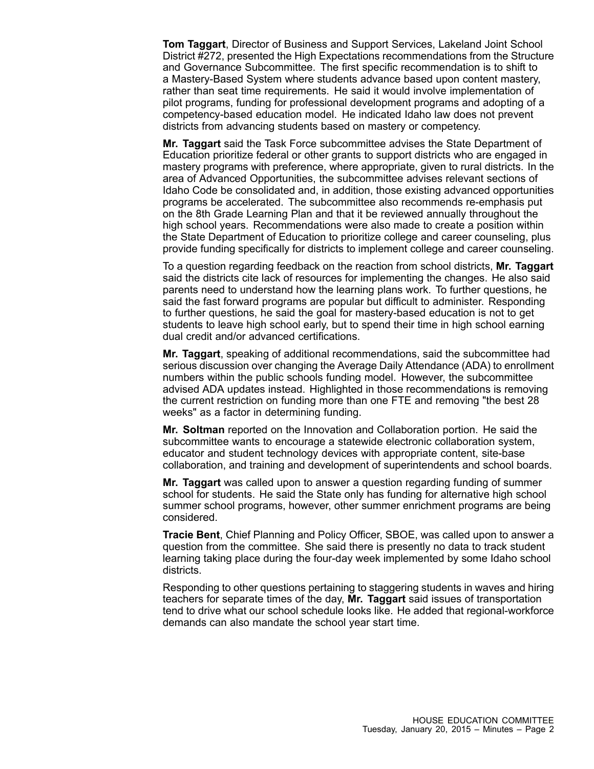**Tom Taggart**, Director of Business and Support Services, Lakeland Joint School District #272, presented the High Expectations recommendations from the Structure and Governance Subcommittee. The first specific recommendation is to shift to <sup>a</sup> Mastery-Based System where students advance based upon content mastery, rather than seat time requirements. He said it would involve implementation of pilot programs, funding for professional development programs and adopting of <sup>a</sup> competency-based education model. He indicated Idaho law does not prevent districts from advancing students based on mastery or competency.

**Mr. Taggart** said the Task Force subcommittee advises the State Department of Education prioritize federal or other grants to support districts who are engaged in mastery programs with preference, where appropriate, given to rural districts. In the area of Advanced Opportunities, the subcommittee advises relevant sections of Idaho Code be consolidated and, in addition, those existing advanced opportunities programs be accelerated. The subcommittee also recommends re-emphasis put on the 8th Grade Learning Plan and that it be reviewed annually throughout the high school years. Recommendations were also made to create <sup>a</sup> position within the State Department of Education to prioritize college and career counseling, plus provide funding specifically for districts to implement college and career counseling.

To <sup>a</sup> question regarding feedback on the reaction from school districts, **Mr. Taggart** said the districts cite lack of resources for implementing the changes. He also said parents need to understand how the learning plans work. To further questions, he said the fast forward programs are popular but difficult to administer. Responding to further questions, he said the goal for mastery-based education is not to get students to leave high school early, but to spend their time in high school earning dual credit and/or advanced certifications.

**Mr. Taggart**, speaking of additional recommendations, said the subcommittee had serious discussion over changing the Average Daily Attendance (ADA) to enrollment numbers within the public schools funding model. However, the subcommittee advised ADA updates instead. Highlighted in those recommendations is removing the current restriction on funding more than one FTE and removing "the best 28 weeks" as <sup>a</sup> factor in determining funding.

**Mr. Soltman** reported on the Innovation and Collaboration portion. He said the subcommittee wants to encourage <sup>a</sup> statewide electronic collaboration system, educator and student technology devices with appropriate content, site-base collaboration, and training and development of superintendents and school boards.

**Mr. Taggart** was called upon to answer <sup>a</sup> question regarding funding of summer school for students. He said the State only has funding for alternative high school summer school programs, however, other summer enrichment programs are being considered.

**Tracie Bent**, Chief Planning and Policy Officer, SBOE, was called upon to answer <sup>a</sup> question from the committee. She said there is presently no data to track student learning taking place during the four-day week implemented by some Idaho school districts.

Responding to other questions pertaining to staggering students in waves and hiring teachers for separate times of the day, **Mr. Taggart** said issues of transportation tend to drive what our school schedule looks like. He added that regional-workforce demands can also mandate the school year start time.